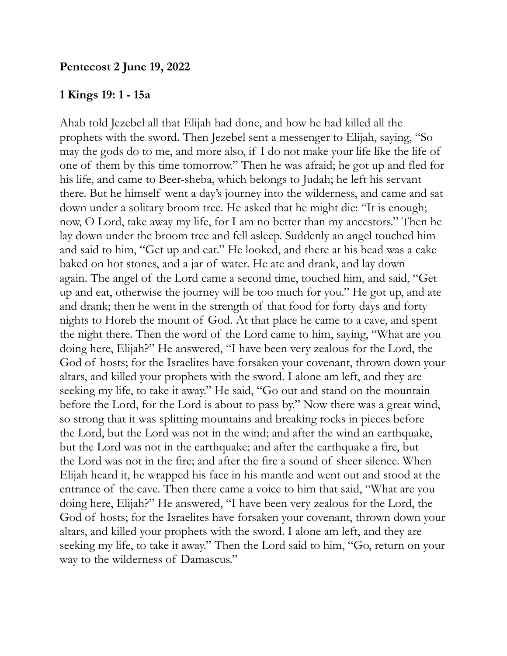## **1 Kings 19: 1 - 15a**

Ahab told Jezebel all that Elijah had done, and how he had killed all the prophets with the sword. Then Jezebel sent a messenger to Elijah, saying, "So may the gods do to me, and more also, if I do not make your life like the life of one of them by this time tomorrow." Then he was afraid; he got up and fled for his life, and came to Beer-sheba, which belongs to Judah; he left his servant there. But he himself went a day's journey into the wilderness, and came and sat down under a solitary broom tree. He asked that he might die: "It is enough; now, O Lord, take away my life, for I am no better than my ancestors." Then he lay down under the broom tree and fell asleep. Suddenly an angel touched him and said to him, "Get up and eat." He looked, and there at his head was a cake baked on hot stones, and a jar of water. He ate and drank, and lay down again. The angel of the Lord came a second time, touched him, and said, "Get up and eat, otherwise the journey will be too much for you." He got up, and ate and drank; then he went in the strength of that food for forty days and forty nights to Horeb the mount of God. At that place he came to a cave, and spent the night there. Then the word of the Lord came to him, saying, "What are you doing here, Elijah?" He answered, "I have been very zealous for the Lord, the God of hosts; for the Israelites have forsaken your covenant, thrown down your altars, and killed your prophets with the sword. I alone am left, and they are seeking my life, to take it away." He said, "Go out and stand on the mountain before the Lord, for the Lord is about to pass by." Now there was a great wind, so strong that it was splitting mountains and breaking rocks in pieces before the Lord, but the Lord was not in the wind; and after the wind an earthquake, but the Lord was not in the earthquake; and after the earthquake a fire, but the Lord was not in the fire; and after the fire a sound of sheer silence. When Elijah heard it, he wrapped his face in his mantle and went out and stood at the entrance of the cave. Then there came a voice to him that said, "What are you doing here, Elijah?" He answered, "I have been very zealous for the Lord, the God of hosts; for the Israelites have forsaken your covenant, thrown down your altars, and killed your prophets with the sword. I alone am left, and they are seeking my life, to take it away." Then the Lord said to him, "Go, return on your way to the wilderness of Damascus."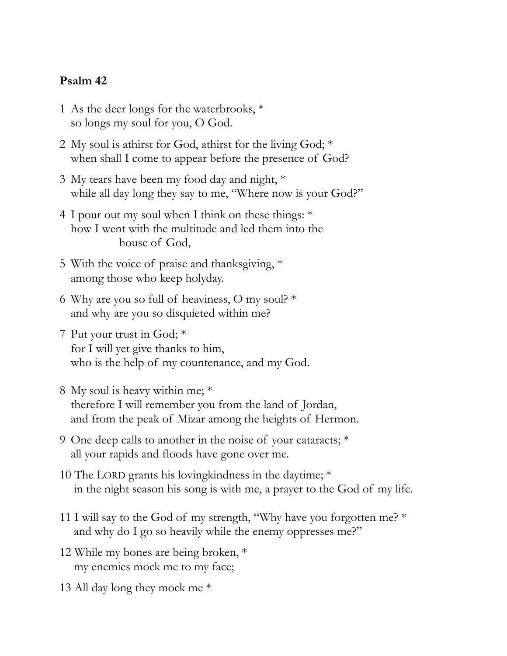## **Psalm 42**

- 1 As the deer longs for the waterbrooks,  $*$ so longs my soul for you, O God.
- 2 My soul is athirst for God, athirst for the living God; \* when shall I come to appear before the presence of God?
- 3 My tears have been my food day and night, \* while all day long they say to me, "Where now is your God?"
- 4 I pour out my soul when I think on these things: \* how I went with the multitude and led them into the house of God,
- 5 With the voice of praise and thanksgiving, \* among those who keep holyday.
- 6 Why are you so full of heaviness, O my soul?  $*$ and why are you so disquieted within me?
- 7 Put your trust in God; \* for I will yet give thanks to him, who is the help of my countenance, and my God.
- 8 My soul is heavy within me; \* therefore I will remember you from the land of Jordan, and from the peak of Mizar among the heights of Hermon.
- 9 One deep calls to another in the noise of your cataracts; \* all your rapids and floods have gone over me.
- 10 The LORD grants his loving kindness in the daytime;  $*$ in the night season his song is with me, a prayer to the God of my life.
- 11 I will say to the God of my strength, "Why have you forgotten me? \* and why do I go so heavily while the enemy oppresses me?"
- 12 While my bones are being broken, \* my enemies mock me to my face;
- 13 All day long they mock me \*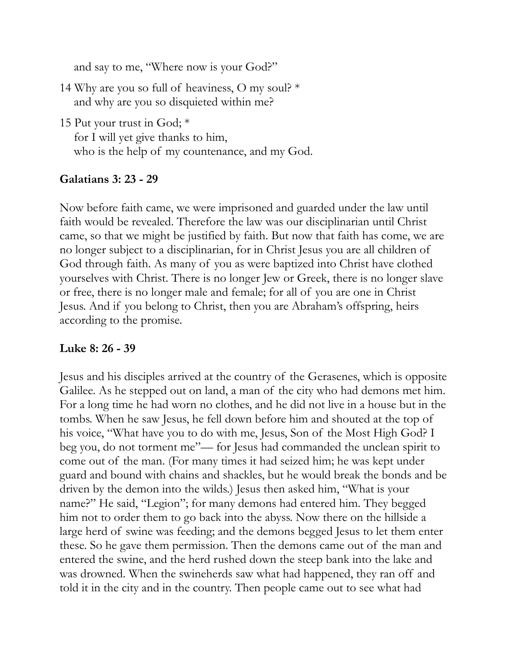and say to me, "Where now is your God?"

- 14 Why are you so full of heaviness, O my soul?  $*$ and why are you so disquieted within me?
- 15 Put your trust in God; \* for I will yet give thanks to him, who is the help of my countenance, and my God.

## **Galatians 3: 23 - 29**

Now before faith came, we were imprisoned and guarded under the law until faith would be revealed. Therefore the law was our disciplinarian until Christ came, so that we might be justified by faith. But now that faith has come, we are no longer subject to a disciplinarian, for in Christ Jesus you are all children of God through faith. As many of you as were baptized into Christ have clothed yourselves with Christ. There is no longer Jew or Greek, there is no longer slave or free, there is no longer male and female; for all of you are one in Christ Jesus. And if you belong to Christ, then you are Abraham's offspring, heirs according to the promise.

## **Luke 8: 26 - 39**

Jesus and his disciples arrived at the country of the Gerasenes, which is opposite Galilee. As he stepped out on land, a man of the city who had demons met him. For a long time he had worn no clothes, and he did not live in a house but in the tombs. When he saw Jesus, he fell down before him and shouted at the top of his voice, "What have you to do with me, Jesus, Son of the Most High God? I beg you, do not torment me"— for Jesus had commanded the unclean spirit to come out of the man. (For many times it had seized him; he was kept under guard and bound with chains and shackles, but he would break the bonds and be driven by the demon into the wilds.) Jesus then asked him, "What is your name?" He said, "Legion"; for many demons had entered him. They begged him not to order them to go back into the abyss. Now there on the hillside a large herd of swine was feeding; and the demons begged Jesus to let them enter these. So he gave them permission. Then the demons came out of the man and entered the swine, and the herd rushed down the steep bank into the lake and was drowned. When the swineherds saw what had happened, they ran off and told it in the city and in the country. Then people came out to see what had